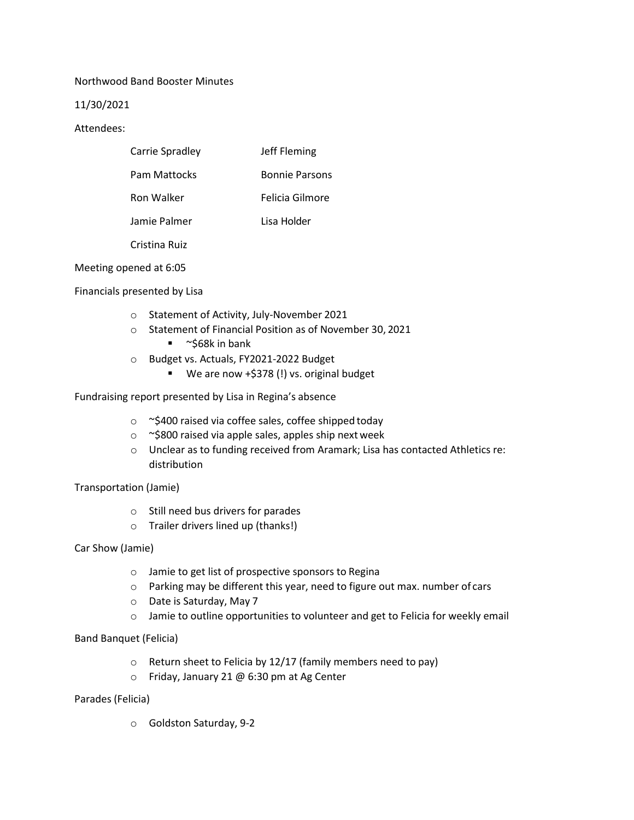## Northwood Band Booster Minutes

## 11/30/2021

## Attendees:

| Carrie Spradley     | Jeff Fleming          |
|---------------------|-----------------------|
| <b>Pam Mattocks</b> | <b>Bonnie Parsons</b> |
| Ron Walker          | Felicia Gilmore       |
| Jamie Palmer        | Lisa Holder           |

Cristina Ruiz

Meeting opened at 6:05

Financials presented by Lisa

- o Statement of Activity, July-November 2021
- o Statement of Financial Position as of November 30, 2021
	- $\blacksquare$  ~\$68k in bank
- o Budget vs. Actuals, FY2021-2022 Budget
	- We are now +\$378 (!) vs. original budget

Fundraising report presented by Lisa in Regina's absence

- o ~\$400 raised via coffee sales, coffee shipped today
- o ~\$800 raised via apple sales, apples ship next week
- o Unclear as to funding received from Aramark; Lisa has contacted Athletics re: distribution

Transportation (Jamie)

- o Still need bus drivers for parades
- o Trailer drivers lined up (thanks!)

Car Show (Jamie)

- o Jamie to get list of prospective sponsors to Regina
- o Parking may be different this year, need to figure out max. number of cars
- o Date is Saturday, May 7
- o Jamie to outline opportunities to volunteer and get to Felicia for weekly email

Band Banquet (Felicia)

- o Return sheet to Felicia by 12/17 (family members need to pay)
- o Friday, January 21 @ 6:30 pm at Ag Center

Parades (Felicia)

o Goldston Saturday, 9-2